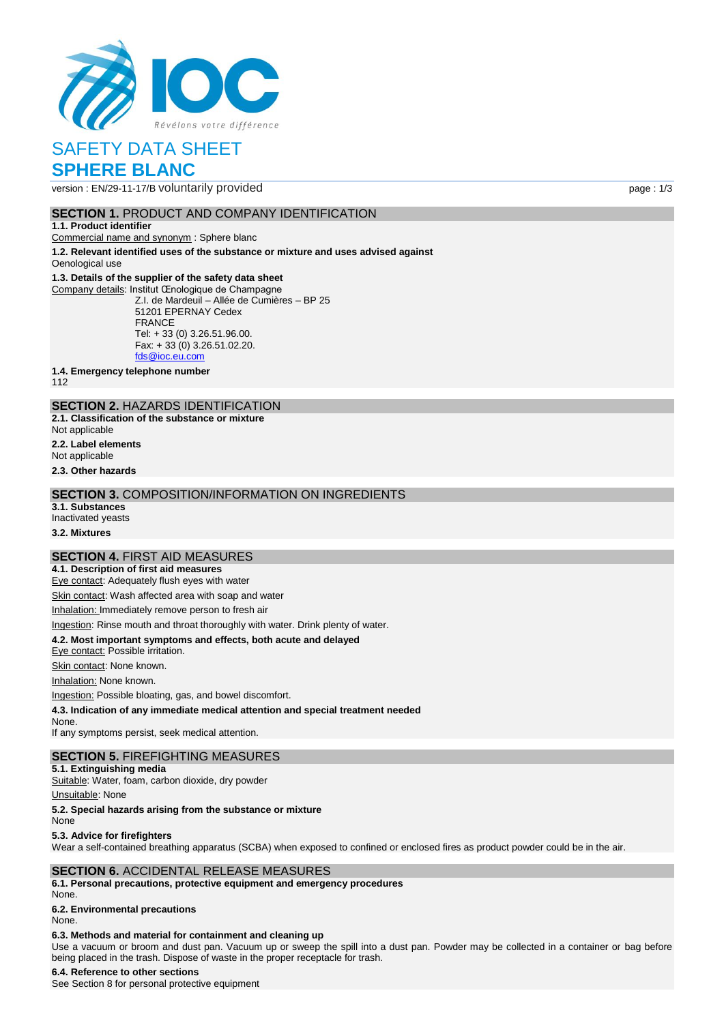

# SAFETY DATA SHEET **SPHERE BLANC**

version : EN/29-11-17/B voluntarily provided page : 1/3

## **SECTION 1. PRODUCT AND COMPANY IDENTIFICATION**

#### **1.1. Product identifier**

Commercial name and synonym : Sphere blanc

**1.2. Relevant identified uses of the substance or mixture and uses advised against** Oenological use

### **1.3. Details of the supplier of the safety data sheet**

Company details: Institut Œnologique de Champagne Z.I. de Mardeuil – Allée de Cumières – BP 25 51201 EPERNAY Cedex FRANCE Tel: + 33 (0) 3.26.51.96.00. Fax: + 33 (0) 3.26.51.02.20. [fds@ioc.eu.com](mailto:fds@ioc.eu.com)

**1.4. Emergency telephone number**

112

# **SECTION 2.** HAZARDS IDENTIFICATION

**2.1. Classification of the substance or mixture**

Not applicable

**2.2. Label elements**

Not applicable

**2.3. Other hazards**

## **SECTION 3.** COMPOSITION/INFORMATION ON INGREDIENTS

**3.1. Substances** Inactivated yeasts

**3.2. Mixtures**

### **SECTION 4.** FIRST AID MEASURES

**4.1. Description of first aid measures**

Eye contact: Adequately flush eyes with water

Skin contact: Wash affected area with soap and water

Inhalation: Immediately remove person to fresh air

Ingestion: Rinse mouth and throat thoroughly with water. Drink plenty of water.

### **4.2. Most important symptoms and effects, both acute and delayed**

Eye contact: Possible irritation.

Skin contact: None known.

Inhalation: None known.

Ingestion: Possible bloating, gas, and bowel discomfort.

**4.3. Indication of any immediate medical attention and special treatment needed**

None. If any symptoms persist, seek medical attention.

# **SECTION 5.** FIREFIGHTING MEASURES

**5.1. Extinguishing media** Suitable: Water, foam, carbon dioxide, dry powder

Unsuitable: None

**5.2. Special hazards arising from the substance or mixture**

None

### **5.3. Advice for firefighters**

Wear a self-contained breathing apparatus (SCBA) when exposed to confined or enclosed fires as product powder could be in the air.

## **SECTION 6.** ACCIDENTAL RELEASE MEASURES

**6.1. Personal precautions, protective equipment and emergency procedures** None.

# **6.2. Environmental precautions**

None.

## **6.3. Methods and material for containment and cleaning up**

Use a vacuum or broom and dust pan. Vacuum up or sweep the spill into a dust pan. Powder may be collected in a container or bag before being placed in the trash. Dispose of waste in the proper receptacle for trash.

### **6.4. Reference to other sections**

See Section 8 for personal protective equipment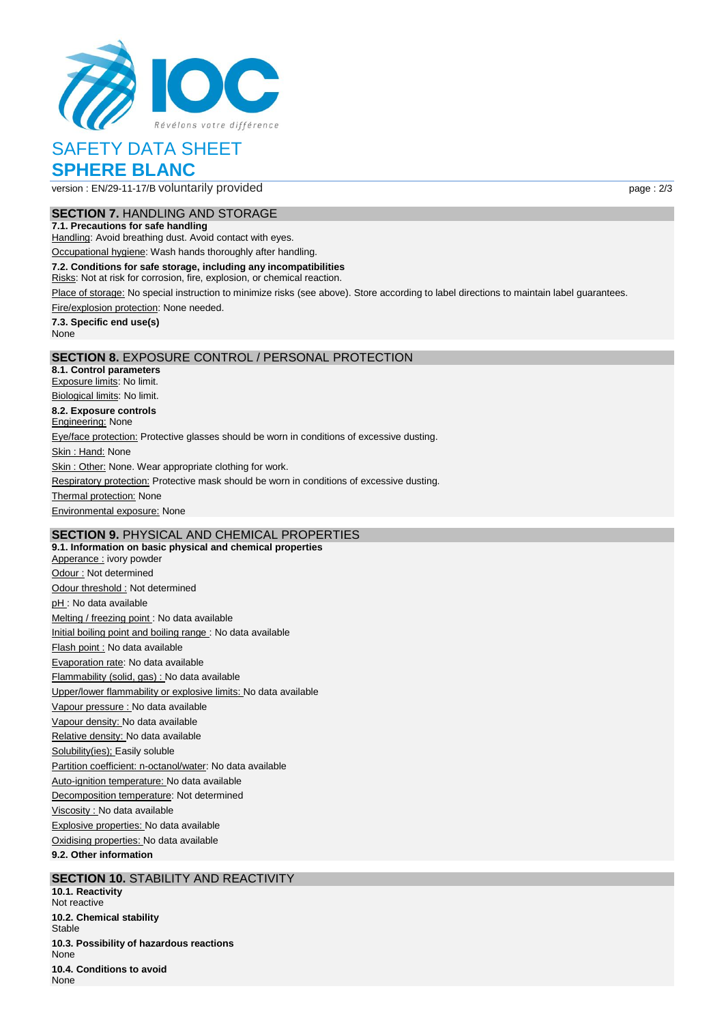

# SAFETY DATA SHEET **SPHERE BLANC**

version : EN/29-11-17/B voluntarily provided page : 2/3

# **SECTION 7.** HANDLING AND STORAGE

**7.1. Precautions for safe handling** Handling: Avoid breathing dust. Avoid contact with eyes.

Occupational hygiene: Wash hands thoroughly after handling.

**7.2. Conditions for safe storage, including any incompatibilities**

Risks: Not at risk for corrosion, fire, explosion, or chemical reaction.

Place of storage: No special instruction to minimize risks (see above). Store according to label directions to maintain label guarantees.

Fire/explosion protection: None needed.

**7.3. Specific end use(s)** None

### **SECTION 8.** EXPOSURE CONTROL / PERSONAL PROTECTION

**8.1. Control parameters** Exposure limits: No limit. Biological limits: No limit. **8.2. Exposure controls Engineering: None** Eye/face protection: Protective glasses should be worn in conditions of excessive dusting. Skin: Hand: None Skin : Other: None. Wear appropriate clothing for work. Respiratory protection: Protective mask should be worn in conditions of excessive dusting. **Thermal protection: None** Environmental exposure: None

# **SECTION 9.** PHYSICAL AND CHEMICAL PROPERTIES

**9.1. Information on basic physical and chemical properties** Apperance : ivory powder Odour : Not determined Odour threshold : Not determined pH : No data available Melting / freezing point : No data available Initial boiling point and boiling range : No data available Flash point : No data available Evaporation rate: No data available Flammability (solid, gas) : No data available Upper/lower flammability or explosive limits: No data available Vapour pressure : No data available Vapour density: No data available Relative density: No data available Solubility(ies); Easily soluble Partition coefficient: n-octanol/water: No data available Auto-ignition temperature: No data available Decomposition temperature: Not determined Viscosity : No data available Explosive properties: No data available Oxidising properties: No data available **9.2. Other information**

## **SECTION 10.** STABILITY AND REACTIVITY

**10.1. Reactivity** Not reactive **10.2. Chemical stability Stable 10.3. Possibility of hazardous reactions** None **10.4. Conditions to avoid** None